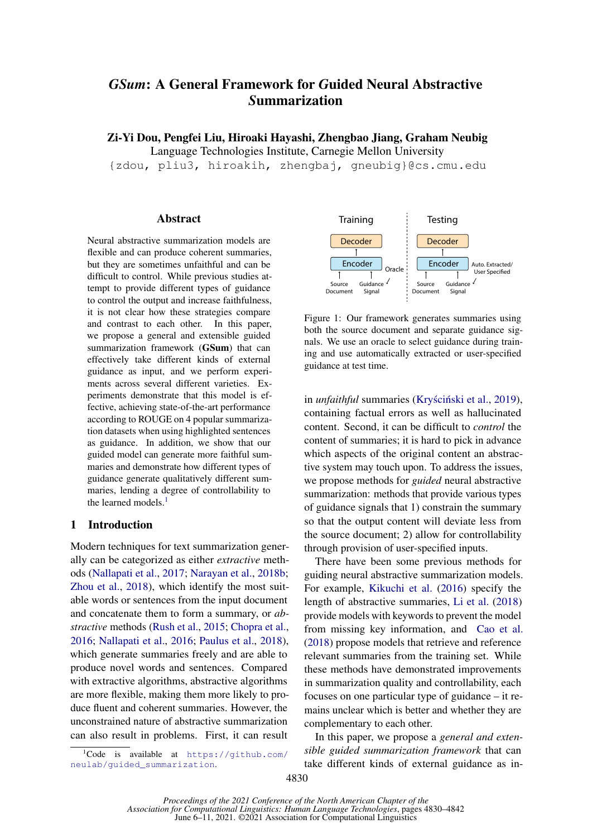# *GSum*: A General Framework for *G*uided Neural Abstractive *S*ummarization

Zi-Yi Dou, Pengfei Liu, Hiroaki Hayashi, Zhengbao Jiang, Graham Neubig

Language Technologies Institute, Carnegie Mellon University

{zdou, pliu3, hiroakih, zhengbaj, gneubig}@cs.cmu.edu

## **Abstract**

Neural abstractive summarization models are flexible and can produce coherent summaries, but they are sometimes unfaithful and can be difficult to control. While previous studies attempt to provide different types of guidance to control the output and increase faithfulness, it is not clear how these strategies compare and contrast to each other. In this paper, we propose a general and extensible guided summarization framework (GSum) that can effectively take different kinds of external guidance as input, and we perform experiments across several different varieties. Experiments demonstrate that this model is effective, achieving state-of-the-art performance according to ROUGE on 4 popular summarization datasets when using highlighted sentences as guidance. In addition, we show that our guided model can generate more faithful summaries and demonstrate how different types of guidance generate qualitatively different summaries, lending a degree of controllability to the learned models. $<sup>1</sup>$  $<sup>1</sup>$  $<sup>1</sup>$ </sup>

# 1 Introduction

Modern techniques for text summarization generally can be categorized as either *extractive* methods [\(Nallapati et al.,](#page-9-0) [2017;](#page-9-0) [Narayan et al.,](#page-9-1) [2018b;](#page-9-1) [Zhou et al.,](#page-9-2) [2018\)](#page-9-2), which identify the most suitable words or sentences from the input document and concatenate them to form a summary, or *abstractive* methods [\(Rush et al.,](#page-9-3) [2015;](#page-9-3) [Chopra et al.,](#page-8-0) [2016;](#page-8-0) [Nallapati et al.,](#page-9-4) [2016;](#page-9-4) [Paulus et al.,](#page-9-5) [2018\)](#page-9-5), which generate summaries freely and are able to produce novel words and sentences. Compared with extractive algorithms, abstractive algorithms are more flexible, making them more likely to produce fluent and coherent summaries. However, the unconstrained nature of abstractive summarization can also result in problems. First, it can result

<span id="page-0-0"></span>

<span id="page-0-1"></span>

Figure 1: Our framework generates summaries using both the source document and separate guidance signals. We use an oracle to select guidance during training and use automatically extracted or user-specified guidance at test time.

in *unfaithful* summaries (Kryściński et al., [2019\)](#page-9-6), containing factual errors as well as hallucinated content. Second, it can be difficult to *control* the content of summaries; it is hard to pick in advance which aspects of the original content an abstractive system may touch upon. To address the issues, we propose methods for *guided* neural abstractive summarization: methods that provide various types of guidance signals that 1) constrain the summary so that the output content will deviate less from the source document; 2) allow for controllability through provision of user-specified inputs.

There have been some previous methods for guiding neural abstractive summarization models. For example, [Kikuchi et al.](#page-8-1) [\(2016\)](#page-8-1) specify the length of abstractive summaries, [Li et al.](#page-9-7) [\(2018\)](#page-9-7) provide models with keywords to prevent the model from missing key information, and [Cao et al.](#page-8-2) [\(2018\)](#page-8-2) propose models that retrieve and reference relevant summaries from the training set. While these methods have demonstrated improvements in summarization quality and controllability, each focuses on one particular type of guidance – it remains unclear which is better and whether they are complementary to each other.

In this paper, we propose a *general and extensible guided summarization framework* that can take different kinds of external guidance as in-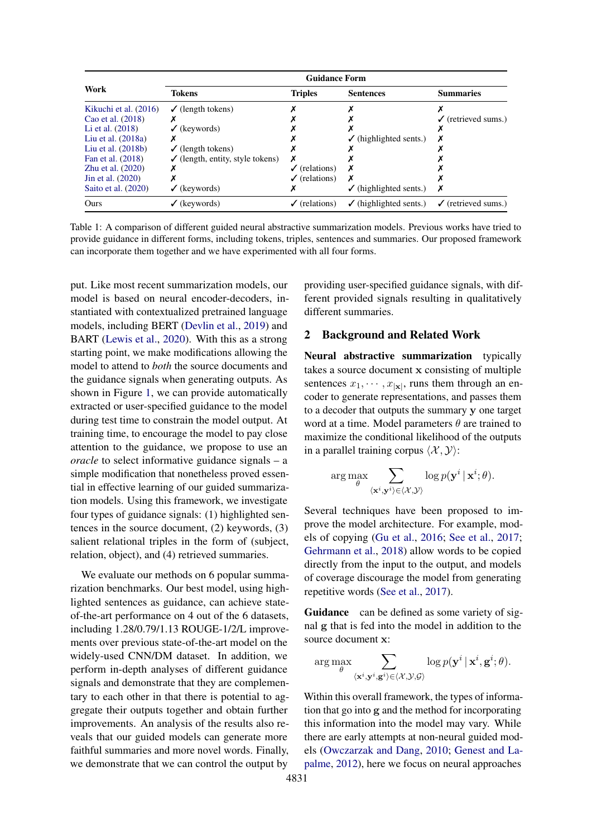<span id="page-1-0"></span>

|                       | <b>Guidance Form</b>                        |                          |                                   |                                |  |  |  |
|-----------------------|---------------------------------------------|--------------------------|-----------------------------------|--------------------------------|--|--|--|
| Work                  | Tokens                                      | <b>Triples</b>           | <b>Sentences</b>                  | <b>Summaries</b>               |  |  |  |
| Kikuchi et al. (2016) | $\checkmark$ (length tokens)                |                          |                                   |                                |  |  |  |
| Cao et al. (2018)     |                                             |                          |                                   | $\checkmark$ (retrieved sums.) |  |  |  |
| Li et al. $(2018)$    | $\checkmark$ (keywords)                     |                          |                                   |                                |  |  |  |
| Liu et al. $(2018a)$  |                                             |                          | $\checkmark$ (highlighted sents.) |                                |  |  |  |
| Liu et al. $(2018b)$  | $\checkmark$ (length tokens)                |                          |                                   |                                |  |  |  |
| Fan et al. (2018)     | $\checkmark$ (length, entity, style tokens) |                          |                                   |                                |  |  |  |
| Zhu et al. $(2020)$   |                                             | $\checkmark$ (relations) |                                   |                                |  |  |  |
| Jin et al. (2020)     |                                             | $\checkmark$ (relations) | х                                 |                                |  |  |  |
| Saito et al. (2020)   | $\checkmark$ (keywords)                     |                          | $\checkmark$ (highlighted sents.) | х                              |  |  |  |
| Ours                  | $\checkmark$ (keywords)                     | $\checkmark$ (relations) | $\checkmark$ (highlighted sents.) | $\checkmark$ (retrieved sums.) |  |  |  |

Table 1: A comparison of different guided neural abstractive summarization models. Previous works have tried to provide guidance in different forms, including tokens, triples, sentences and summaries. Our proposed framework can incorporate them together and we have experimented with all four forms.

put. Like most recent summarization models, our model is based on neural encoder-decoders, instantiated with contextualized pretrained language models, including BERT [\(Devlin et al.,](#page-8-5) [2019\)](#page-8-5) and BART [\(Lewis et al.,](#page-9-12) [2020\)](#page-9-12). With this as a strong starting point, we make modifications allowing the model to attend to *both* the source documents and the guidance signals when generating outputs. As shown in Figure [1,](#page-0-1) we can provide automatically extracted or user-specified guidance to the model during test time to constrain the model output. At training time, to encourage the model to pay close attention to the guidance, we propose to use an *oracle* to select informative guidance signals – a simple modification that nonetheless proved essential in effective learning of our guided summarization models. Using this framework, we investigate four types of guidance signals: (1) highlighted sentences in the source document, (2) keywords, (3) salient relational triples in the form of (subject, relation, object), and (4) retrieved summaries.

We evaluate our methods on 6 popular summarization benchmarks. Our best model, using highlighted sentences as guidance, can achieve stateof-the-art performance on 4 out of the 6 datasets, including 1.28/0.79/1.13 ROUGE-1/2/L improvements over previous state-of-the-art model on the widely-used CNN/DM dataset. In addition, we perform in-depth analyses of different guidance signals and demonstrate that they are complementary to each other in that there is potential to aggregate their outputs together and obtain further improvements. An analysis of the results also reveals that our guided models can generate more faithful summaries and more novel words. Finally, we demonstrate that we can control the output by

providing user-specified guidance signals, with different provided signals resulting in qualitatively different summaries.

# 2 Background and Related Work

Neural abstractive summarization typically takes a source document x consisting of multiple sentences  $x_1, \dots, x_{|\mathbf{x}|}$ , runs them through an encoder to generate representations, and passes them to a decoder that outputs the summary y one target word at a time. Model parameters  $\theta$  are trained to maximize the conditional likelihood of the outputs in a parallel training corpus  $\langle \mathcal{X}, \mathcal{Y} \rangle$ :

$$
\arg\max_{\theta} \sum_{\langle {\mathbf x}^i, {\mathbf y}^i \rangle \in \langle {\mathcal X}, {\mathcal Y} \rangle} \log p({\mathbf y}^i \,|\, {\mathbf x}^i; \theta).
$$

Several techniques have been proposed to improve the model architecture. For example, models of copying [\(Gu et al.,](#page-8-6) [2016;](#page-8-6) [See et al.,](#page-9-13) [2017;](#page-9-13) [Gehrmann et al.,](#page-8-7) [2018\)](#page-8-7) allow words to be copied directly from the input to the output, and models of coverage discourage the model from generating repetitive words [\(See et al.,](#page-9-13) [2017\)](#page-9-13).

Guidance can be defined as some variety of signal g that is fed into the model in addition to the source document x:

$$
\arg\max_{\theta} \sum_{\langle \mathbf{x}^i, \mathbf{y}^i, \mathbf{g}^i \rangle \in \langle \mathcal{X}, \mathcal{Y}, \mathcal{G} \rangle} \log p(\mathbf{y}^i | \mathbf{x}^i, \mathbf{g}^i; \theta).
$$

Within this overall framework, the types of information that go into g and the method for incorporating this information into the model may vary. While there are early attempts at non-neural guided models [\(Owczarzak and Dang,](#page-9-14) [2010;](#page-9-14) [Genest and La](#page-8-8)[palme,](#page-8-8) [2012\)](#page-8-8), here we focus on neural approaches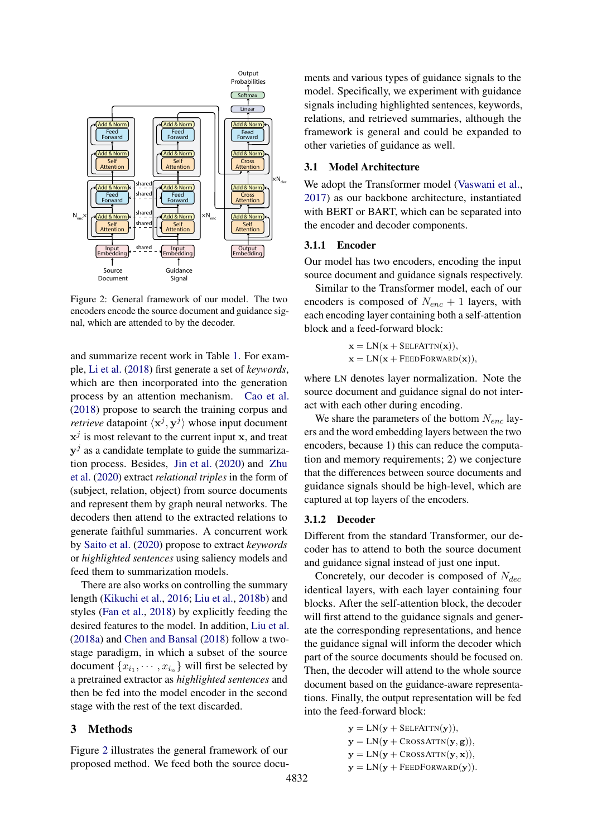<span id="page-2-0"></span>

Figure 2: General framework of our model. The two encoders encode the source document and guidance signal, which are attended to by the decoder.

and summarize recent work in Table [1.](#page-1-0) For example, [Li et al.](#page-9-7) [\(2018\)](#page-9-7) first generate a set of *keywords*, which are then incorporated into the generation process by an attention mechanism. [Cao et al.](#page-8-2) [\(2018\)](#page-8-2) propose to search the training corpus and *retrieve* datapoint  $\langle x^j, y^j \rangle$  whose input document  $x^j$  is most relevant to the current input x, and treat  $y^j$  as a candidate template to guide the summarization process. Besides, [Jin et al.](#page-8-4) [\(2020\)](#page-8-4) and [Zhu](#page-9-10) [et al.](#page-9-10) [\(2020\)](#page-9-10) extract *relational triples* in the form of (subject, relation, object) from source documents and represent them by graph neural networks. The decoders then attend to the extracted relations to generate faithful summaries. A concurrent work by [Saito et al.](#page-9-11) [\(2020\)](#page-9-11) propose to extract *keywords* or *highlighted sentences* using saliency models and feed them to summarization models.

There are also works on controlling the summary length [\(Kikuchi et al.,](#page-8-1) [2016;](#page-8-1) [Liu et al.,](#page-9-9) [2018b\)](#page-9-9) and styles [\(Fan et al.,](#page-8-3) [2018\)](#page-8-3) by explicitly feeding the desired features to the model. In addition, [Liu et al.](#page-9-8) [\(2018a\)](#page-9-8) and [Chen and Bansal](#page-8-9) [\(2018\)](#page-8-9) follow a twostage paradigm, in which a subset of the source document  $\{x_{i_1}, \dots, x_{i_n}\}$  will first be selected by a pretrained extractor as *highlighted sentences* and then be fed into the model encoder in the second stage with the rest of the text discarded.

#### 3 Methods

Figure [2](#page-2-0) illustrates the general framework of our proposed method. We feed both the source documents and various types of guidance signals to the model. Specifically, we experiment with guidance signals including highlighted sentences, keywords, relations, and retrieved summaries, although the framework is general and could be expanded to other varieties of guidance as well.

## 3.1 Model Architecture

We adopt the Transformer model [\(Vaswani et al.,](#page-9-15) [2017\)](#page-9-15) as our backbone architecture, instantiated with BERT or BART, which can be separated into the encoder and decoder components.

# 3.1.1 Encoder

Our model has two encoders, encoding the input source document and guidance signals respectively.

Similar to the Transformer model, each of our encoders is composed of  $N_{enc} + 1$  layers, with each encoding layer containing both a self-attention block and a feed-forward block:

> $\mathbf{x} = LN(\mathbf{x} + SELFATTN(\mathbf{x})),$  $\mathbf{x} = LN(\mathbf{x} + FEDFORMARD(\mathbf{x})),$

where LN denotes layer normalization. Note the source document and guidance signal do not interact with each other during encoding.

We share the parameters of the bottom  $N_{enc}$  layers and the word embedding layers between the two encoders, because 1) this can reduce the computation and memory requirements; 2) we conjecture that the differences between source documents and guidance signals should be high-level, which are captured at top layers of the encoders.

#### 3.1.2 Decoder

Different from the standard Transformer, our decoder has to attend to both the source document and guidance signal instead of just one input.

Concretely, our decoder is composed of  $N_{dec}$ identical layers, with each layer containing four blocks. After the self-attention block, the decoder will first attend to the guidance signals and generate the corresponding representations, and hence the guidance signal will inform the decoder which part of the source documents should be focused on. Then, the decoder will attend to the whole source document based on the guidance-aware representations. Finally, the output representation will be fed into the feed-forward block:

> $y = LN(y + SELFATTN(y)),$  $y = LN(y + CrossATTN(y, g)),$  $y = LN(y + CrossATTN(y, x)),$  $y = LN(y + FEEDFORWARD(y)).$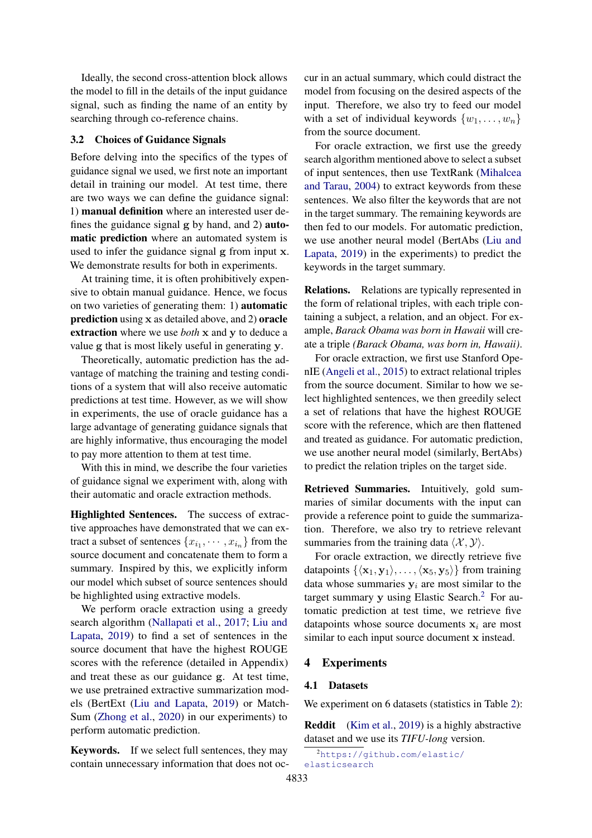Ideally, the second cross-attention block allows the model to fill in the details of the input guidance signal, such as finding the name of an entity by searching through co-reference chains.

## 3.2 Choices of Guidance Signals

Before delving into the specifics of the types of guidance signal we used, we first note an important detail in training our model. At test time, there are two ways we can define the guidance signal: 1) manual definition where an interested user defines the guidance signal g by hand, and 2) automatic prediction where an automated system is used to infer the guidance signal g from input x. We demonstrate results for both in experiments.

At training time, it is often prohibitively expensive to obtain manual guidance. Hence, we focus on two varieties of generating them: 1) automatic prediction using x as detailed above, and 2) oracle extraction where we use *both* x and y to deduce a value g that is most likely useful in generating y.

Theoretically, automatic prediction has the advantage of matching the training and testing conditions of a system that will also receive automatic predictions at test time. However, as we will show in experiments, the use of oracle guidance has a large advantage of generating guidance signals that are highly informative, thus encouraging the model to pay more attention to them at test time.

With this in mind, we describe the four varieties of guidance signal we experiment with, along with their automatic and oracle extraction methods.

Highlighted Sentences. The success of extractive approaches have demonstrated that we can extract a subset of sentences  $\{x_{i_1}, \cdots, x_{i_n}\}$  from the source document and concatenate them to form a summary. Inspired by this, we explicitly inform our model which subset of source sentences should be highlighted using extractive models.

We perform oracle extraction using a greedy search algorithm [\(Nallapati et al.,](#page-9-0) [2017;](#page-9-0) [Liu and](#page-9-16) [Lapata,](#page-9-16) [2019\)](#page-9-16) to find a set of sentences in the source document that have the highest ROUGE scores with the reference (detailed in Appendix) and treat these as our guidance g. At test time, we use pretrained extractive summarization models (BertExt [\(Liu and Lapata,](#page-9-16) [2019\)](#page-9-16) or Match-Sum [\(Zhong et al.,](#page-9-17) [2020\)](#page-9-17) in our experiments) to perform automatic prediction.

Keywords. If we select full sentences, they may contain unnecessary information that does not occur in an actual summary, which could distract the model from focusing on the desired aspects of the input. Therefore, we also try to feed our model with a set of individual keywords  $\{w_1, \ldots, w_n\}$ from the source document.

For oracle extraction, we first use the greedy search algorithm mentioned above to select a subset of input sentences, then use TextRank [\(Mihalcea](#page-9-18) [and Tarau,](#page-9-18) [2004\)](#page-9-18) to extract keywords from these sentences. We also filter the keywords that are not in the target summary. The remaining keywords are then fed to our models. For automatic prediction, we use another neural model (BertAbs [\(Liu and](#page-9-16) [Lapata,](#page-9-16) [2019\)](#page-9-16) in the experiments) to predict the keywords in the target summary.

Relations. Relations are typically represented in the form of relational triples, with each triple containing a subject, a relation, and an object. For example, *Barack Obama was born in Hawaii* will create a triple *(Barack Obama, was born in, Hawaii)*.

For oracle extraction, we first use Stanford OpenIE [\(Angeli et al.,](#page-8-10) [2015\)](#page-8-10) to extract relational triples from the source document. Similar to how we select highlighted sentences, we then greedily select a set of relations that have the highest ROUGE score with the reference, which are then flattened and treated as guidance. For automatic prediction, we use another neural model (similarly, BertAbs) to predict the relation triples on the target side.

Retrieved Summaries. Intuitively, gold summaries of similar documents with the input can provide a reference point to guide the summarization. Therefore, we also try to retrieve relevant summaries from the training data  $\langle X, Y \rangle$ .

For oracle extraction, we directly retrieve five datapoints  $\{\langle x_1, y_1 \rangle, \ldots, \langle x_5, y_5 \rangle\}$  from training data whose summaries  $y_i$  are most similar to the target summary y using Elastic Search.<sup>[2](#page-3-0)</sup> For automatic prediction at test time, we retrieve five datapoints whose source documents  $x_i$  are most similar to each input source document x instead.

#### 4 Experiments

#### 4.1 Datasets

We experiment on 6 datasets (statistics in Table [2\)](#page-4-0):

Reddit [\(Kim et al.,](#page-8-11) [2019\)](#page-8-11) is a highly abstractive dataset and we use its *TIFU-long* version.

```
2https://github.com/elastic/
elasticsearch
```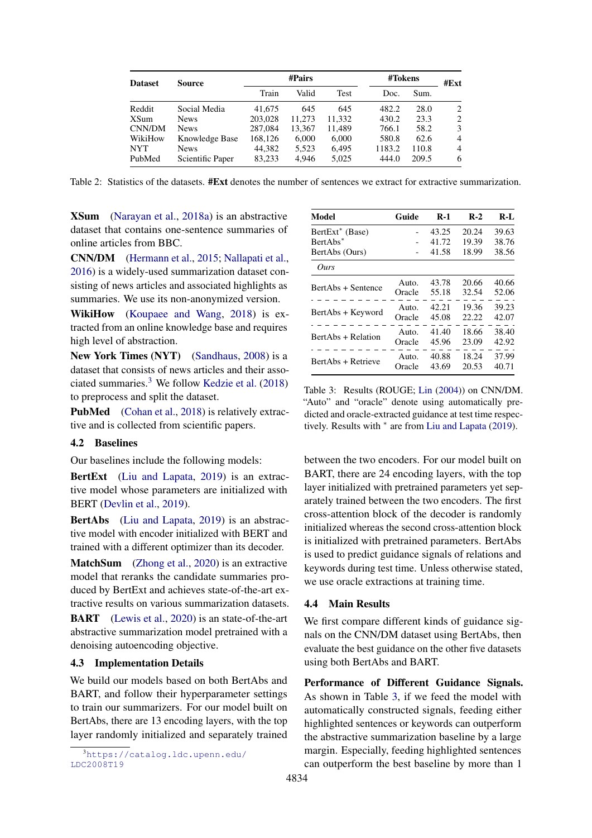<span id="page-4-0"></span>

| <b>Dataset</b> | Source           | #Pairs  |        |        |        | #Tokens |      |  |
|----------------|------------------|---------|--------|--------|--------|---------|------|--|
|                |                  | Train   | Valid  | Test   | Doc.   | Sum.    | #Ext |  |
| Reddit         | Social Media     | 41,675  | 645    | 645    | 482.2  | 28.0    | 2    |  |
| XSum           | <b>News</b>      | 203,028 | 11,273 | 11.332 | 430.2  | 23.3    | 2    |  |
| CNN/DM         | <b>News</b>      | 287,084 | 13,367 | 11.489 | 766.1  | 58.2    | 3    |  |
| WikiHow        | Knowledge Base   | 168.126 | 6,000  | 6.000  | 580.8  | 62.6    | 4    |  |
| <b>NYT</b>     | <b>News</b>      | 44.382  | 5,523  | 6.495  | 1183.2 | 110.8   | 4    |  |
| PubMed         | Scientific Paper | 83.233  | 4.946  | 5.025  | 444.0  | 209.5   | 6    |  |

Table 2: Statistics of the datasets. #Ext denotes the number of sentences we extract for extractive summarization.

XSum [\(Narayan et al.,](#page-9-19) [2018a\)](#page-9-19) is an abstractive dataset that contains one-sentence summaries of online articles from BBC.

CNN/DM [\(Hermann et al.,](#page-8-12) [2015;](#page-8-12) [Nallapati et al.,](#page-9-4) [2016\)](#page-9-4) is a widely-used summarization dataset consisting of news articles and associated highlights as summaries. We use its non-anonymized version.

WikiHow [\(Koupaee and Wang,](#page-8-13) [2018\)](#page-8-13) is extracted from an online knowledge base and requires high level of abstraction.

New York Times (NYT) [\(Sandhaus,](#page-9-20) [2008\)](#page-9-20) is a dataset that consists of news articles and their associated summaries.[3](#page-4-1) We follow [Kedzie et al.](#page-8-14) [\(2018\)](#page-8-14) to preprocess and split the dataset.

PubMed [\(Cohan et al.,](#page-8-15) [2018\)](#page-8-15) is relatively extractive and is collected from scientific papers.

#### 4.2 Baselines

Our baselines include the following models:

BertExt [\(Liu and Lapata,](#page-9-16) [2019\)](#page-9-16) is an extractive model whose parameters are initialized with BERT [\(Devlin et al.,](#page-8-5) [2019\)](#page-8-5).

BertAbs [\(Liu and Lapata,](#page-9-16) [2019\)](#page-9-16) is an abstractive model with encoder initialized with BERT and trained with a different optimizer than its decoder.

MatchSum [\(Zhong et al.,](#page-9-17) [2020\)](#page-9-17) is an extractive model that reranks the candidate summaries produced by BertExt and achieves state-of-the-art extractive results on various summarization datasets.

BART [\(Lewis et al.,](#page-9-12) [2020\)](#page-9-12) is an state-of-the-art abstractive summarization model pretrained with a denoising autoencoding objective.

# 4.3 Implementation Details

We build our models based on both BertAbs and BART, and follow their hyperparameter settings to train our summarizers. For our model built on BertAbs, there are 13 encoding layers, with the top layer randomly initialized and separately trained

<span id="page-4-1"></span><sup>3</sup>[https://catalog.ldc.upenn.edu/](https://catalog.ldc.upenn.edu/LDC2008T19) [LDC2008T19](https://catalog.ldc.upenn.edu/LDC2008T19)

<span id="page-4-2"></span>

| Model                       | Guide  | $R-1$ | $R-2$ | $R-I$ |
|-----------------------------|--------|-------|-------|-------|
| BertExt <sup>*</sup> (Base) |        | 43.25 | 20.24 | 39.63 |
| BertAbs <sup>*</sup>        |        | 41.72 | 19.39 | 38.76 |
| BertAbs (Ours)              |        | 41.58 | 18.99 | 38.56 |
| Ours                        |        |       |       |       |
|                             | Auto.  | 43.78 | 20.66 | 40.66 |
| BertAbs + Sentence          | Oracle | 55.18 | 32.54 | 52.06 |
|                             | Auto.  | 42.21 | 19.36 | 39.23 |
| BertAbs + Keyword           | Oracle | 45.08 | 22.22 | 42.07 |
|                             | Auto.  | 41.40 | 18.66 | 38.40 |
| BertAbs + Relation          | Oracle | 45.96 | 23.09 | 42.92 |
|                             | Auto.  | 40.88 | 18.24 | 37.99 |
| BertAbs + Retrieve          | Oracle | 43.69 | 20.53 | 40.71 |

Table 3: Results (ROUGE; [Lin](#page-9-21) [\(2004\)](#page-9-21)) on CNN/DM. "Auto" and "oracle" denote using automatically predicted and oracle-extracted guidance at test time respectively. Results with <sup>∗</sup> are from [Liu and Lapata](#page-9-16) [\(2019\)](#page-9-16).

between the two encoders. For our model built on BART, there are 24 encoding layers, with the top layer initialized with pretrained parameters yet separately trained between the two encoders. The first cross-attention block of the decoder is randomly initialized whereas the second cross-attention block is initialized with pretrained parameters. BertAbs is used to predict guidance signals of relations and keywords during test time. Unless otherwise stated, we use oracle extractions at training time.

#### 4.4 Main Results

We first compare different kinds of guidance signals on the CNN/DM dataset using BertAbs, then evaluate the best guidance on the other five datasets using both BertAbs and BART.

Performance of Different Guidance Signals. As shown in Table [3,](#page-4-2) if we feed the model with automatically constructed signals, feeding either highlighted sentences or keywords can outperform the abstractive summarization baseline by a large margin. Especially, feeding highlighted sentences can outperform the best baseline by more than 1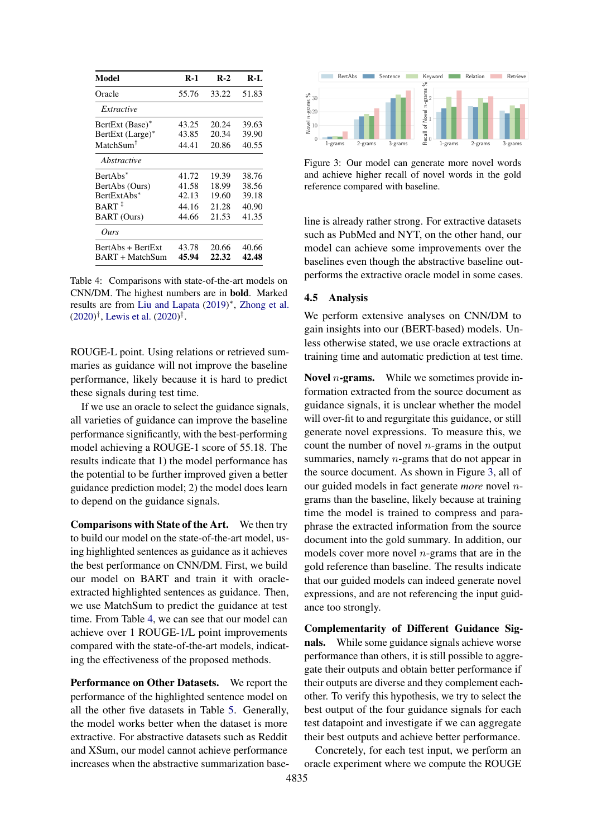<span id="page-5-0"></span>

| Model                                   | $R-1$ | $R-2$ | R-L   |
|-----------------------------------------|-------|-------|-------|
| Oracle                                  | 55.76 | 33.22 | 51.83 |
| Extractive                              |       |       |       |
| BertExt (Base)*                         | 43.25 | 20.24 | 39.63 |
| BertExt (Large)*                        | 43.85 | 20.34 | 39.90 |
| MatchSum <sup>†</sup>                   | 44.41 | 20.86 | 40.55 |
| Abstractive                             |       |       |       |
| BertAbs*                                | 41.72 | 19.39 | 38.76 |
| BertAbs (Ours)                          | 41.58 | 18.99 | 38.56 |
| BertExtAbs*                             | 42.13 | 19.60 | 39.18 |
| $BART$ <sup><math>\ddagger</math></sup> | 44.16 | 21.28 | 40.90 |
| <b>BART</b> (Ours)                      | 44.66 | 21.53 | 41.35 |
| Ours                                    |       |       |       |
| BertAbs + BertExt                       | 43.78 | 20.66 | 40.66 |
| BART + MatchSum                         | 45.94 | 22.32 | 42.48 |

Table 4: Comparisons with state-of-the-art models on CNN/DM. The highest numbers are in bold. Marked results are from [Liu and Lapata](#page-9-16) [\(2019\)](#page-9-16) ∗ , [Zhong et al.](#page-9-17)  $(2020)^{\dagger}$  $(2020)^{\dagger}$ , [Lewis et al.](#page-9-12)  $(2020)^{\ddagger}$ .

ROUGE-L point. Using relations or retrieved summaries as guidance will not improve the baseline performance, likely because it is hard to predict these signals during test time.

If we use an oracle to select the guidance signals, all varieties of guidance can improve the baseline performance significantly, with the best-performing model achieving a ROUGE-1 score of 55.18. The results indicate that 1) the model performance has the potential to be further improved given a better guidance prediction model; 2) the model does learn to depend on the guidance signals.

Comparisons with State of the Art. We then try to build our model on the state-of-the-art model, using highlighted sentences as guidance as it achieves the best performance on CNN/DM. First, we build our model on BART and train it with oracleextracted highlighted sentences as guidance. Then, we use MatchSum to predict the guidance at test time. From Table [4,](#page-5-0) we can see that our model can achieve over 1 ROUGE-1/L point improvements compared with the state-of-the-art models, indicating the effectiveness of the proposed methods.

Performance on Other Datasets. We report the performance of the highlighted sentence model on all the other five datasets in Table [5.](#page-6-0) Generally, the model works better when the dataset is more extractive. For abstractive datasets such as Reddit and XSum, our model cannot achieve performance increases when the abstractive summarization base-

<span id="page-5-1"></span>

Figure 3: Our model can generate more novel words and achieve higher recall of novel words in the gold reference compared with baseline.

line is already rather strong. For extractive datasets such as PubMed and NYT, on the other hand, our model can achieve some improvements over the baselines even though the abstractive baseline outperforms the extractive oracle model in some cases.

## 4.5 Analysis

We perform extensive analyses on CNN/DM to gain insights into our (BERT-based) models. Unless otherwise stated, we use oracle extractions at training time and automatic prediction at test time.

**Novel** *n***-grams.** While we sometimes provide information extracted from the source document as guidance signals, it is unclear whether the model will over-fit to and regurgitate this guidance, or still generate novel expressions. To measure this, we count the number of novel  $n$ -grams in the output summaries, namely *n*-grams that do not appear in the source document. As shown in Figure [3,](#page-5-1) all of our guided models in fact generate *more* novel ngrams than the baseline, likely because at training time the model is trained to compress and paraphrase the extracted information from the source document into the gold summary. In addition, our models cover more novel  $n$ -grams that are in the gold reference than baseline. The results indicate that our guided models can indeed generate novel expressions, and are not referencing the input guidance too strongly.

Complementarity of Different Guidance Signals. While some guidance signals achieve worse performance than others, it is still possible to aggregate their outputs and obtain better performance if their outputs are diverse and they complement eachother. To verify this hypothesis, we try to select the best output of the four guidance signals for each test datapoint and investigate if we can aggregate their best outputs and achieve better performance.

Concretely, for each test input, we perform an oracle experiment where we compute the ROUGE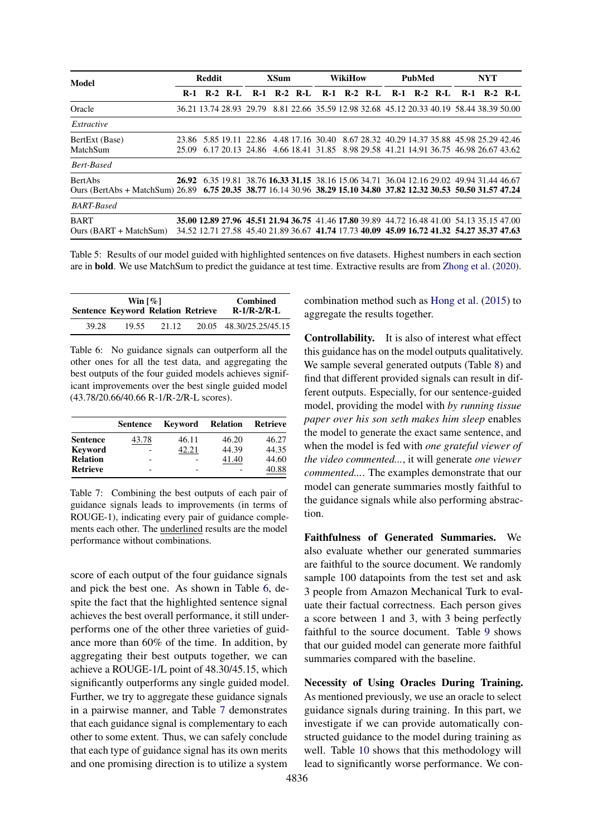<span id="page-6-0"></span>

| Model                                                                                                                                | <b>Reddit</b> |  |           | <b>XSum</b> |  | <b>WikiHow</b> |       | PubMed |             | <b>NYT</b>                                                                                                                                                                             |  |             |       |  |             |
|--------------------------------------------------------------------------------------------------------------------------------------|---------------|--|-----------|-------------|--|----------------|-------|--------|-------------|----------------------------------------------------------------------------------------------------------------------------------------------------------------------------------------|--|-------------|-------|--|-------------|
|                                                                                                                                      | $R-1$         |  | $R-2$ R-L | $R-1$       |  | $R-2$ $R-I$    | $R-1$ |        | $R-2$ $R-I$ | $R-1$                                                                                                                                                                                  |  | $R-2$ $R-I$ | $R-1$ |  | $R-2$ $R-I$ |
| Oracle                                                                                                                               |               |  |           |             |  |                |       |        |             | 36.21 13.74 28.93 29.79 8.81 22.66 35.59 12.98 32.68 45.12 20.33 40.19 58.44 38.39 50.00                                                                                               |  |             |       |  |             |
| Extractive                                                                                                                           |               |  |           |             |  |                |       |        |             |                                                                                                                                                                                        |  |             |       |  |             |
| BertExt (Base)<br>MatchSum                                                                                                           |               |  |           |             |  |                |       |        |             | 23.86 5.85 19.11 22.86 4.48 17.16 30.40 8.67 28.32 40.29 14.37 35.88 45.98 25.29 42.46<br>25.09 6.17 20.13 24.86 4.66 18.41 31.85 8.98 29.58 41.21 14.91 36.75 46.98 26.67 43.62       |  |             |       |  |             |
| <b>Bert-Based</b>                                                                                                                    |               |  |           |             |  |                |       |        |             |                                                                                                                                                                                        |  |             |       |  |             |
| <b>BertAbs</b><br>Ours (BertAbs + MatchSum) 26.89 6.75 20.35 38.77 16.14 30.96 38.29 15.10 34.80 37.82 12.32 30.53 50.50 31.57 47.24 |               |  |           |             |  |                |       |        |             | 26.92 6.35 19.81 38.76 16.33 31.15 38.16 15.06 34.71 36.04 12.16 29.02 49.94 31.44 46.67                                                                                               |  |             |       |  |             |
| <b>BART-Based</b>                                                                                                                    |               |  |           |             |  |                |       |        |             |                                                                                                                                                                                        |  |             |       |  |             |
| <b>BART</b><br>$Ours (BART + MatchSum)$                                                                                              |               |  |           |             |  |                |       |        |             | 35,00 12.89 27.96 45.51 21.94 36.75 41.46 17.80 39.89 44.72 16.48 41.00 54.13 35.15 47.00<br>34.52 12.71 27.58 45.40 21.89 36.67 41.74 17.73 40.09 45.09 16.72 41.32 54.27 35.37 47.63 |  |             |       |  |             |

Table 5: Results of our model guided with highlighted sentences on five datasets. Highest numbers in each section are in bold. We use MatchSum to predict the guidance at test time. Extractive results are from [Zhong et al.](#page-9-17) [\(2020\)](#page-9-17).

<span id="page-6-1"></span>

|       | Win $\lceil \% \rceil$                    | <b>Combined</b> |  |                         |
|-------|-------------------------------------------|-----------------|--|-------------------------|
|       | <b>Sentence Keyword Relation Retrieve</b> |                 |  | $R-1/R-2/R-L$           |
| 39.28 | 19.55                                     | 21.12           |  | 20.05 48.30/25.25/45.15 |

Table 6: No guidance signals can outperform all the other ones for all the test data, and aggregating the best outputs of the four guided models achieves significant improvements over the best single guided model (43.78/20.66/40.66 R-1/R-2/R-L scores).

<span id="page-6-2"></span>

|                 | <b>Sentence</b> | <b>Keyword Relation</b> |       | Retrieve |
|-----------------|-----------------|-------------------------|-------|----------|
| <b>Sentence</b> | 43.78           | 46.11                   | 46.20 | 46.27    |
| <b>Keyword</b>  |                 | 42.21                   | 44.39 | 44.35    |
| <b>Relation</b> | -               |                         | 41.40 | 44.60    |
| <b>Retrieve</b> | -               |                         |       | 40.88    |

Table 7: Combining the best outputs of each pair of guidance signals leads to improvements (in terms of ROUGE-1), indicating every pair of guidance complements each other. The underlined results are the model performance without combinations.

score of each output of the four guidance signals and pick the best one. As shown in Table [6,](#page-6-1) despite the fact that the highlighted sentence signal achieves the best overall performance, it still underperforms one of the other three varieties of guidance more than 60% of the time. In addition, by aggregating their best outputs together, we can achieve a ROUGE-1/L point of 48.30/45.15, which significantly outperforms any single guided model. Further, we try to aggregate these guidance signals in a pairwise manner, and Table [7](#page-6-2) demonstrates that each guidance signal is complementary to each other to some extent. Thus, we can safely conclude that each type of guidance signal has its own merits and one promising direction is to utilize a system

combination method such as [Hong et al.](#page-8-16) [\(2015\)](#page-8-16) to aggregate the results together.

Controllability. It is also of interest what effect this guidance has on the model outputs qualitatively. We sample several generated outputs (Table [8\)](#page-7-0) and find that different provided signals can result in different outputs. Especially, for our sentence-guided model, providing the model with *by running tissue paper over his son seth makes him sleep* enables the model to generate the exact same sentence, and when the model is fed with *one grateful viewer of the video commented...*, it will generate *one viewer commented...*. The examples demonstrate that our model can generate summaries mostly faithful to the guidance signals while also performing abstraction.

Faithfulness of Generated Summaries. We also evaluate whether our generated summaries are faithful to the source document. We randomly sample 100 datapoints from the test set and ask 3 people from Amazon Mechanical Turk to evaluate their factual correctness. Each person gives a score between 1 and 3, with 3 being perfectly faithful to the source document. Table [9](#page-7-1) shows that our guided model can generate more faithful summaries compared with the baseline.

Necessity of Using Oracles During Training. As mentioned previously, we use an oracle to select guidance signals during training. In this part, we investigate if we can provide automatically constructed guidance to the model during training as well. Table [10](#page-7-2) shows that this methodology will lead to significantly worse performance. We con-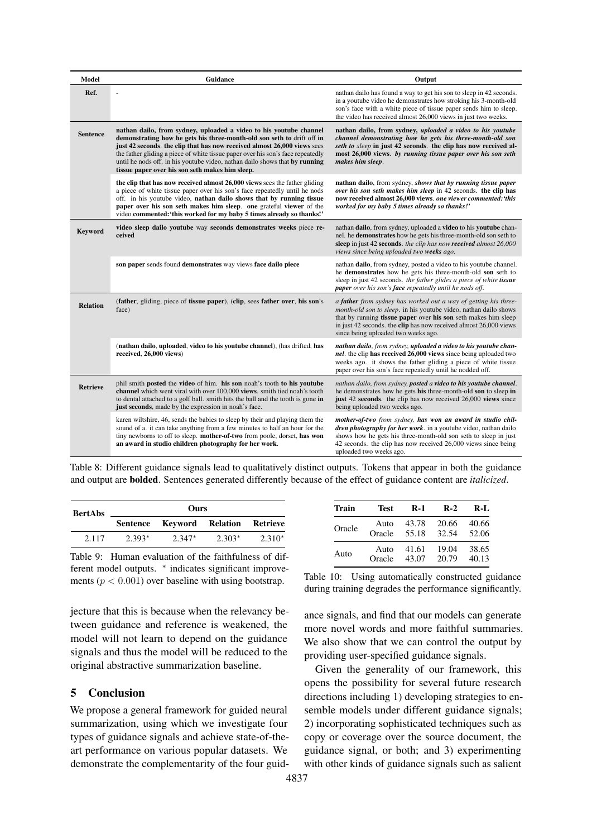<span id="page-7-0"></span>

| Model           | <b>Guidance</b>                                                                                                                                                                                                                                                                                                                                                                                                                               | Output                                                                                                                                                                                                                                                                                                                   |
|-----------------|-----------------------------------------------------------------------------------------------------------------------------------------------------------------------------------------------------------------------------------------------------------------------------------------------------------------------------------------------------------------------------------------------------------------------------------------------|--------------------------------------------------------------------------------------------------------------------------------------------------------------------------------------------------------------------------------------------------------------------------------------------------------------------------|
| Ref.            |                                                                                                                                                                                                                                                                                                                                                                                                                                               | nathan dailo has found a way to get his son to sleep in 42 seconds.<br>in a youtube video he demonstrates how stroking his 3-month-old<br>son's face with a white piece of tissue paper sends him to sleep.<br>the video has received almost 26,000 views in just two weeks.                                             |
| <b>Sentence</b> | nathan dailo, from sydney, uploaded a video to his youtube channel<br>demonstrating how he gets his three-month-old son seth to drift off in<br>just 42 seconds. the clip that has now received almost 26,000 views sees<br>the father gliding a piece of white tissue paper over his son's face repeatedly<br>until he nods off. in his youtube video, nathan dailo shows that by running<br>tissue paper over his son seth makes him sleep. | nathan dailo, from sydney, uploaded a video to his youtube<br>channel demonstrating how he gets his three-month-old son<br>seth to sleep in just 42 seconds. the clip has now received al-<br>most 26,000 views. by running tissue paper over his son seth<br>makes him sleep.                                           |
|                 | the clip that has now received almost 26,000 views sees the father gliding<br>a piece of white tissue paper over his son's face repeatedly until he nods<br>off. in his youtube video, nathan dailo shows that by running tissue<br>paper over his son seth makes him sleep. one grateful viewer of the<br>video commented:'this worked for my baby 5 times already so thanks!'                                                               | nathan dailo, from sydney, shows that by running tissue paper<br>over his son seth makes him sleep in 42 seconds. the clip has<br>now received almost 26,000 views. one viewer commented: 'this<br>worked for my baby 5 times already so thanks!'                                                                        |
| Keyword         | video sleep dailo youtube way seconds demonstrates weeks piece re-<br>ceived                                                                                                                                                                                                                                                                                                                                                                  | nathan dailo, from sydney, uploaded a video to his youtube chan-<br>nel. he demonstrates how he gets his three-month-old son seth to<br>sleep in just 42 seconds. the clip has now received almost 26,000<br>views since being uploaded two weeks ago.                                                                   |
|                 | son paper sends found demonstrates way views face dailo piece                                                                                                                                                                                                                                                                                                                                                                                 | nathan dailo, from sydney, posted a video to his youtube channel.<br>he demonstrates how he gets his three-month-old son seth to<br>sleep in just 42 seconds. the father glides a piece of white tissue<br>paper over his son's face repeatedly until he nods off.                                                       |
| <b>Relation</b> | (father, gliding, piece of tissue paper), (clip, sees father over, his son's<br>face)                                                                                                                                                                                                                                                                                                                                                         | a <b>father</b> from sydney has worked out a way of getting his three-<br>month-old son to sleep. in his youtube video, nathan dailo shows<br>that by running tissue paper over his son seth makes him sleep<br>in just 42 seconds. the clip has now received almost 26,000 views<br>since being uploaded two weeks ago. |
|                 | (nathan dailo, uploaded, video to his youtube channel), (has drifted, has<br>received, 26,000 views)                                                                                                                                                                                                                                                                                                                                          | nathan dailo, from sydney, uploaded a video to his youtube chan-<br>nel. the clip has received 26,000 views since being uploaded two<br>weeks ago. it shows the father gliding a piece of white tissue<br>paper over his son's face repeatedly until he nodded off.                                                      |
| <b>Retrieve</b> | phil smith posted the video of him. his son noah's tooth to his youtube<br>channel which went viral with over 100,000 views. smith tied noah's tooth<br>to dental attached to a golf ball. smith hits the ball and the tooth is gone in<br>just seconds, made by the expression in noah's face.                                                                                                                                               | nathan dailo, from sydney, posted a video to his youtube channel.<br>he demonstrates how he gets his three-month-old son to sleep in<br>just 42 seconds. the clip has now received 26,000 views since<br>being uploaded two weeks ago.                                                                                   |
|                 | karen wiltshire, 46, sends the babies to sleep by their and playing them the<br>sound of a. it can take anything from a few minutes to half an hour for the<br>tiny newborns to off to sleep. mother-of-two from poole, dorset, has won<br>an award in studio children photography for her work.                                                                                                                                              | mother-of-two from sydney, has won an award in studio chil-<br>dren photography for her work. in a youtube video, nathan dailo<br>shows how he gets his three-month-old son seth to sleep in just<br>42 seconds. the clip has now received 26,000 views since being<br>uploaded two weeks ago.                           |

Table 8: Different guidance signals lead to qualitatively distinct outputs. Tokens that appear in both the guidance and output are bolded. Sentences generated differently because of the effect of guidance content are *italicized*.

<span id="page-7-1"></span>

| <b>BertAbs</b> | Ours     |                                    |          |          |  |  |
|----------------|----------|------------------------------------|----------|----------|--|--|
|                |          | Sentence Keyword Relation Retrieve |          |          |  |  |
| 2.117          | $2.393*$ | $2.347*$                           | $2.303*$ | $2.310*$ |  |  |
|                |          |                                    |          |          |  |  |

Table 9: Human evaluation of the faithfulness of different model outputs. \* indicates significant improvements ( $p < 0.001$ ) over baseline with using bootstrap.

jecture that this is because when the relevancy between guidance and reference is weakened, the model will not learn to depend on the guidance signals and thus the model will be reduced to the original abstractive summarization baseline.

# 5 Conclusion

We propose a general framework for guided neural summarization, using which we investigate four types of guidance signals and achieve state-of-theart performance on various popular datasets. We demonstrate the complementarity of the four guid-

<span id="page-7-2"></span>

| Train  | Test   | <b>R-1</b> | $R-2$ | R-L   |
|--------|--------|------------|-------|-------|
| Oracle | Auto   | 43.78      | 20.66 | 40.66 |
|        | Oracle | 55.18      | 32.54 | 52.06 |
| Auto   | Auto   | 41.61      | 19.04 | 38.65 |
|        | Oracle | 43.07      | 20.79 | 40.13 |

Table 10: Using automatically constructed guidance during training degrades the performance significantly.

ance signals, and find that our models can generate more novel words and more faithful summaries. We also show that we can control the output by providing user-specified guidance signals.

Given the generality of our framework, this opens the possibility for several future research directions including 1) developing strategies to ensemble models under different guidance signals; 2) incorporating sophisticated techniques such as copy or coverage over the source document, the guidance signal, or both; and 3) experimenting with other kinds of guidance signals such as salient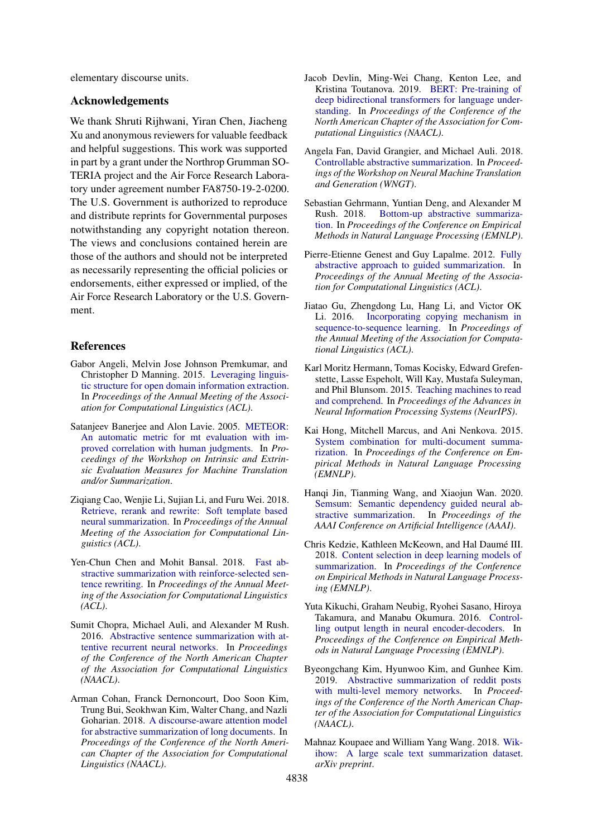elementary discourse units.

#### Acknowledgements

We thank Shruti Rijhwani, Yiran Chen, Jiacheng Xu and anonymous reviewers for valuable feedback and helpful suggestions. This work was supported in part by a grant under the Northrop Grumman SO-TERIA project and the Air Force Research Laboratory under agreement number FA8750-19-2-0200. The U.S. Government is authorized to reproduce and distribute reprints for Governmental purposes notwithstanding any copyright notation thereon. The views and conclusions contained herein are those of the authors and should not be interpreted as necessarily representing the official policies or endorsements, either expressed or implied, of the Air Force Research Laboratory or the U.S. Government.

## References

- <span id="page-8-10"></span>Gabor Angeli, Melvin Jose Johnson Premkumar, and Christopher D Manning. 2015. [Leveraging linguis](https://www.aclweb.org/anthology/P15-1034.pdf)[tic structure for open domain information extraction.](https://www.aclweb.org/anthology/P15-1034.pdf) In *Proceedings of the Annual Meeting of the Association for Computational Linguistics (ACL)*.
- <span id="page-8-17"></span>Satanjeev Banerjee and Alon Lavie. 2005. [METEOR:](https://www.aclweb.org/anthology/W05-0909.pdf) [An automatic metric for mt evaluation with im](https://www.aclweb.org/anthology/W05-0909.pdf)[proved correlation with human judgments.](https://www.aclweb.org/anthology/W05-0909.pdf) In *Proceedings of the Workshop on Intrinsic and Extrinsic Evaluation Measures for Machine Translation and/or Summarization*.
- <span id="page-8-2"></span>Ziqiang Cao, Wenjie Li, Sujian Li, and Furu Wei. 2018. [Retrieve, rerank and rewrite: Soft template based](https://www.aclweb.org/anthology/P18-1015.pdf) [neural summarization.](https://www.aclweb.org/anthology/P18-1015.pdf) In *Proceedings of the Annual Meeting of the Association for Computational Linguistics (ACL)*.
- <span id="page-8-9"></span>Yen-Chun Chen and Mohit Bansal. 2018. [Fast ab](https://www.aclweb.org/anthology/P18-1063.pdf)[stractive summarization with reinforce-selected sen](https://www.aclweb.org/anthology/P18-1063.pdf)[tence rewriting.](https://www.aclweb.org/anthology/P18-1063.pdf) In *Proceedings of the Annual Meeting of the Association for Computational Linguistics (ACL)*.
- <span id="page-8-0"></span>Sumit Chopra, Michael Auli, and Alexander M Rush. 2016. [Abstractive sentence summarization with at](https://www.aclweb.org/anthology/N16-1012.pdf)[tentive recurrent neural networks.](https://www.aclweb.org/anthology/N16-1012.pdf) In *Proceedings of the Conference of the North American Chapter of the Association for Computational Linguistics (NAACL)*.
- <span id="page-8-15"></span>Arman Cohan, Franck Dernoncourt, Doo Soon Kim, Trung Bui, Seokhwan Kim, Walter Chang, and Nazli Goharian. 2018. [A discourse-aware attention model](https://www.aclweb.org/anthology/N18-2097.pdf) [for abstractive summarization of long documents.](https://www.aclweb.org/anthology/N18-2097.pdf) In *Proceedings of the Conference of the North American Chapter of the Association for Computational Linguistics (NAACL)*.
- <span id="page-8-5"></span>Jacob Devlin, Ming-Wei Chang, Kenton Lee, and Kristina Toutanova. 2019. [BERT: Pre-training of](https://www.aclweb.org/anthology/N19-1423.pdf) [deep bidirectional transformers for language under](https://www.aclweb.org/anthology/N19-1423.pdf)[standing.](https://www.aclweb.org/anthology/N19-1423.pdf) In *Proceedings of the Conference of the North American Chapter of the Association for Computational Linguistics (NAACL)*.
- <span id="page-8-3"></span>Angela Fan, David Grangier, and Michael Auli. 2018. [Controllable abstractive summarization.](https://www.aclweb.org/anthology/W18-2706.pdf) In *Proceedings of the Workshop on Neural Machine Translation and Generation (WNGT)*.
- <span id="page-8-7"></span>Sebastian Gehrmann, Yuntian Deng, and Alexander M Rush. 2018. [Bottom-up abstractive summariza](https://www.aclweb.org/anthology/D18-1443.pdf)[tion.](https://www.aclweb.org/anthology/D18-1443.pdf) In *Proceedings of the Conference on Empirical Methods in Natural Language Processing (EMNLP)*.
- <span id="page-8-8"></span>Pierre-Etienne Genest and Guy Lapalme. 2012. [Fully](https://www.aclweb.org/anthology/P12-2069) [abstractive approach to guided summarization.](https://www.aclweb.org/anthology/P12-2069) In *Proceedings of the Annual Meeting of the Association for Computational Linguistics (ACL)*.
- <span id="page-8-6"></span>Jiatao Gu, Zhengdong Lu, Hang Li, and Victor OK Li. 2016. [Incorporating copying mechanism in](https://www.aclweb.org/anthology/P16-1154.pdf) [sequence-to-sequence learning.](https://www.aclweb.org/anthology/P16-1154.pdf) In *Proceedings of the Annual Meeting of the Association for Computational Linguistics (ACL)*.
- <span id="page-8-12"></span>Karl Moritz Hermann, Tomas Kocisky, Edward Grefenstette, Lasse Espeholt, Will Kay, Mustafa Suleyman, and Phil Blunsom. 2015. [Teaching machines to read](http://papers.nips.cc/paper/5945-teaching-machines-to-read-and-comprehend.pdf) [and comprehend.](http://papers.nips.cc/paper/5945-teaching-machines-to-read-and-comprehend.pdf) In *Proceedings of the Advances in Neural Information Processing Systems (NeurIPS)*.
- <span id="page-8-16"></span>Kai Hong, Mitchell Marcus, and Ani Nenkova. 2015. [System combination for multi-document summa](https://www.aclweb.org/anthology/D15-1011)[rization.](https://www.aclweb.org/anthology/D15-1011) In *Proceedings of the Conference on Empirical Methods in Natural Language Processing (EMNLP)*.
- <span id="page-8-4"></span>Hanqi Jin, Tianming Wang, and Xiaojun Wan. 2020. [Semsum: Semantic dependency guided neural ab](https://www.aaai.org/Papers/AAAI/2020GB/AAAI-JinH.7203.pdf)[stractive summarization.](https://www.aaai.org/Papers/AAAI/2020GB/AAAI-JinH.7203.pdf) In *Proceedings of the AAAI Conference on Artificial Intelligence (AAAI)*.
- <span id="page-8-14"></span>Chris Kedzie, Kathleen McKeown, and Hal Daumé III. 2018. [Content selection in deep learning models of](https://www.aclweb.org/anthology/D18-1208.pdf) [summarization.](https://www.aclweb.org/anthology/D18-1208.pdf) In *Proceedings of the Conference on Empirical Methods in Natural Language Processing (EMNLP)*.
- <span id="page-8-1"></span>Yuta Kikuchi, Graham Neubig, Ryohei Sasano, Hiroya Takamura, and Manabu Okumura. 2016. [Control](https://www.aclweb.org/anthology/D16-1140)[ling output length in neural encoder-decoders.](https://www.aclweb.org/anthology/D16-1140) In *Proceedings of the Conference on Empirical Methods in Natural Language Processing (EMNLP)*.
- <span id="page-8-11"></span>Byeongchang Kim, Hyunwoo Kim, and Gunhee Kim. 2019. [Abstractive summarization of reddit posts](https://www.aclweb.org/anthology/N19-1260.pdf) [with multi-level memory networks.](https://www.aclweb.org/anthology/N19-1260.pdf) In *Proceedings of the Conference of the North American Chapter of the Association for Computational Linguistics (NAACL)*.
- <span id="page-8-13"></span>Mahnaz Koupaee and William Yang Wang. 2018. [Wik](https://arxiv.org/pdf/1810.09305.pdf)[ihow: A large scale text summarization dataset.](https://arxiv.org/pdf/1810.09305.pdf) *arXiv preprint*.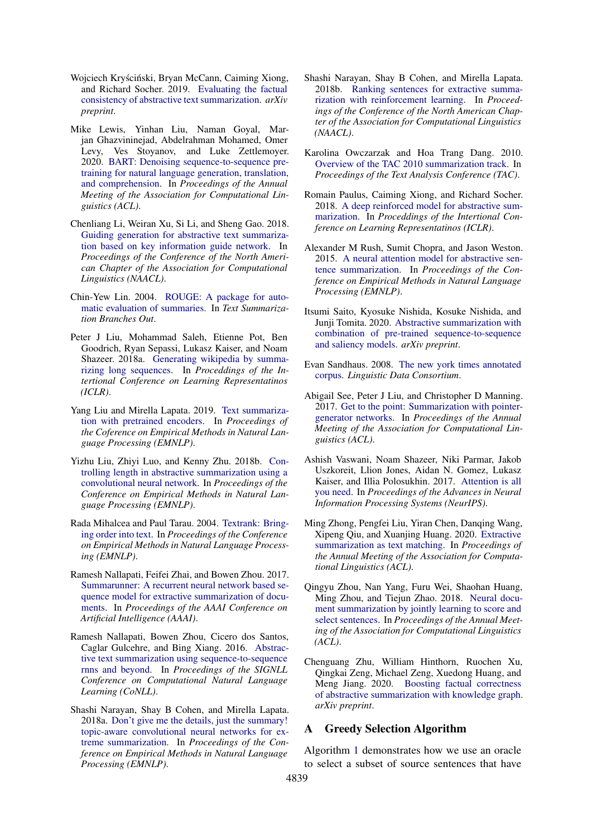- <span id="page-9-6"></span>Wojciech Kryściński, Bryan McCann, Caiming Xiong, and Richard Socher. 2019. [Evaluating the factual](https://arxiv.org/pdf/1910.12840.pdf) [consistency of abstractive text summarization.](https://arxiv.org/pdf/1910.12840.pdf) *arXiv preprint*.
- <span id="page-9-12"></span>Mike Lewis, Yinhan Liu, Naman Goyal, Marjan Ghazvininejad, Abdelrahman Mohamed, Omer Levy, Ves Stoyanov, and Luke Zettlemoyer. 2020. [BART: Denoising sequence-to-sequence pre](https://arxiv.org/pdf/1910.13461.pdf)[training for natural language generation, translation,](https://arxiv.org/pdf/1910.13461.pdf) [and comprehension.](https://arxiv.org/pdf/1910.13461.pdf) In *Proceedings of the Annual Meeting of the Association for Computational Linguistics (ACL)*.
- <span id="page-9-7"></span>Chenliang Li, Weiran Xu, Si Li, and Sheng Gao. 2018. [Guiding generation for abstractive text summariza](https://www.aclweb.org/anthology/N18-2009.pdf)[tion based on key information guide network.](https://www.aclweb.org/anthology/N18-2009.pdf) In *Proceedings of the Conference of the North American Chapter of the Association for Computational Linguistics (NAACL)*.
- <span id="page-9-21"></span>Chin-Yew Lin. 2004. [ROUGE: A package for auto](https://www.aclweb.org/anthology/W04-1013.pdf)[matic evaluation of summaries.](https://www.aclweb.org/anthology/W04-1013.pdf) In *Text Summarization Branches Out*.
- <span id="page-9-8"></span>Peter J Liu, Mohammad Saleh, Etienne Pot, Ben Goodrich, Ryan Sepassi, Lukasz Kaiser, and Noam Shazeer. 2018a. [Generating wikipedia by summa](https://openreview.net/pdf?id=Hyg0vbWC-)[rizing long sequences.](https://openreview.net/pdf?id=Hyg0vbWC-) In *Proceddings of the Intertional Conference on Learning Representatinos (ICLR)*.
- <span id="page-9-16"></span>Yang Liu and Mirella Lapata. 2019. [Text summariza](https://www.aclweb.org/anthology/D19-1387.pdf)[tion with pretrained encoders.](https://www.aclweb.org/anthology/D19-1387.pdf) In *Proceedings of the Coference on Empirical Methods in Natural Language Processing (EMNLP)*.
- <span id="page-9-9"></span>Yizhu Liu, Zhiyi Luo, and Kenny Zhu. 2018b. [Con](https://www.aclweb.org/anthology/D18-1444.pdf)[trolling length in abstractive summarization using a](https://www.aclweb.org/anthology/D18-1444.pdf) [convolutional neural network.](https://www.aclweb.org/anthology/D18-1444.pdf) In *Proceedings of the Conference on Empirical Methods in Natural Language Processing (EMNLP)*.
- <span id="page-9-18"></span>Rada Mihalcea and Paul Tarau. 2004. [Textrank: Bring](https://www.aclweb.org/anthology/W04-3252.pdf)[ing order into text.](https://www.aclweb.org/anthology/W04-3252.pdf) In *Proceedings of the Conference on Empirical Methods in Natural Language Processing (EMNLP)*.
- <span id="page-9-0"></span>Ramesh Nallapati, Feifei Zhai, and Bowen Zhou. 2017. [Summarunner: A recurrent neural network based se](https://www.aaai.org/ocs/index.php/AAAI/AAAI17/paper/download/14636/14080)[quence model for extractive summarization of docu](https://www.aaai.org/ocs/index.php/AAAI/AAAI17/paper/download/14636/14080)[ments.](https://www.aaai.org/ocs/index.php/AAAI/AAAI17/paper/download/14636/14080) In *Proceedings of the AAAI Conference on Artificial Intelligence (AAAI)*.
- <span id="page-9-4"></span>Ramesh Nallapati, Bowen Zhou, Cicero dos Santos, Caglar Gulcehre, and Bing Xiang. 2016. [Abstrac](https://www.aclweb.org/anthology/K16-1028.pdf)[tive text summarization using sequence-to-sequence](https://www.aclweb.org/anthology/K16-1028.pdf) [rnns and beyond.](https://www.aclweb.org/anthology/K16-1028.pdf) In *Proceedings of the SIGNLL Conference on Computational Natural Language Learning (CoNLL)*.
- <span id="page-9-19"></span>Shashi Narayan, Shay B Cohen, and Mirella Lapata. 2018a. [Don't give me the details, just the summary!](https://www.aclweb.org/anthology/D18-1206.pdf) [topic-aware convolutional neural networks for ex](https://www.aclweb.org/anthology/D18-1206.pdf)[treme summarization.](https://www.aclweb.org/anthology/D18-1206.pdf) In *Proceedings of the Conference on Empirical Methods in Natural Language Processing (EMNLP)*.
- <span id="page-9-1"></span>Shashi Narayan, Shay B Cohen, and Mirella Lapata. 2018b. [Ranking sentences for extractive summa](https://www.aclweb.org/anthology/N18-1158.pdf)[rization with reinforcement learning.](https://www.aclweb.org/anthology/N18-1158.pdf) In *Proceedings of the Conference of the North American Chapter of the Association for Computational Linguistics (NAACL)*.
- <span id="page-9-14"></span>Karolina Owczarzak and Hoa Trang Dang. 2010. [Overview of the TAC 2010 summarization track.](https://tac.nist.gov/publications/2010/papers.html) In *Proceedings of the Text Analysis Conference (TAC)*.
- <span id="page-9-5"></span>Romain Paulus, Caiming Xiong, and Richard Socher. 2018. [A deep reinforced model for abstractive sum](https://openreview.net/pdf?id=HkAClQgA-)[marization.](https://openreview.net/pdf?id=HkAClQgA-) In *Proceddings of the Intertional Conference on Learning Representatinos (ICLR)*.
- <span id="page-9-3"></span>Alexander M Rush, Sumit Chopra, and Jason Weston. 2015. [A neural attention model for abstractive sen](https://www.aclweb.org/anthology/D15-1044.pdf)[tence summarization.](https://www.aclweb.org/anthology/D15-1044.pdf) In *Proceedings of the Conference on Empirical Methods in Natural Language Processing (EMNLP)*.
- <span id="page-9-11"></span>Itsumi Saito, Kyosuke Nishida, Kosuke Nishida, and Junji Tomita. 2020. [Abstractive summarization with](https://arxiv.org/pdf/2003.13028.pdf) [combination of pre-trained sequence-to-sequence](https://arxiv.org/pdf/2003.13028.pdf) [and saliency models.](https://arxiv.org/pdf/2003.13028.pdf) *arXiv preprint*.
- <span id="page-9-20"></span>Evan Sandhaus. 2008. [The new york times annotated](https://catalog.ldc.upenn.edu/LDC2008T19) [corpus.](https://catalog.ldc.upenn.edu/LDC2008T19) *Linguistic Data Consortium*.
- <span id="page-9-13"></span>Abigail See, Peter J Liu, and Christopher D Manning. 2017. [Get to the point: Summarization with pointer](https://www.aclweb.org/anthology/P17-1099.pdf)[generator networks.](https://www.aclweb.org/anthology/P17-1099.pdf) In *Proceedings of the Annual Meeting of the Association for Computational Linguistics (ACL)*.
- <span id="page-9-15"></span>Ashish Vaswani, Noam Shazeer, Niki Parmar, Jakob Uszkoreit, Llion Jones, Aidan N. Gomez, Lukasz Kaiser, and Illia Polosukhin. 2017. [Attention is all](https://papers.nips.cc/paper/7181-attention-is-all-you-need.pdf) [you need.](https://papers.nips.cc/paper/7181-attention-is-all-you-need.pdf) In *Proceedings of the Advances in Neural Information Processing Systems (NeurIPS)*.
- <span id="page-9-17"></span>Ming Zhong, Pengfei Liu, Yiran Chen, Danqing Wang, Xipeng Qiu, and Xuanjing Huang. 2020. [Extractive](https://arxiv.org/pdf/2004.08795.pdf) [summarization as text matching.](https://arxiv.org/pdf/2004.08795.pdf) In *Proceedings of the Annual Meeting of the Association for Computational Linguistics (ACL)*.
- <span id="page-9-2"></span>Qingyu Zhou, Nan Yang, Furu Wei, Shaohan Huang, Ming Zhou, and Tiejun Zhao. 2018. [Neural docu](https://www.aclweb.org/anthology/P18-1061.pdf)[ment summarization by jointly learning to score and](https://www.aclweb.org/anthology/P18-1061.pdf) [select sentences.](https://www.aclweb.org/anthology/P18-1061.pdf) In *Proceedings of the Annual Meeting of the Association for Computational Linguistics (ACL)*.
- <span id="page-9-10"></span>Chenguang Zhu, William Hinthorn, Ruochen Xu, Qingkai Zeng, Michael Zeng, Xuedong Huang, and Meng Jiang. 2020. [Boosting factual correctness](https://arxiv.org/pdf/2003.08612.pdf) [of abstractive summarization with knowledge graph.](https://arxiv.org/pdf/2003.08612.pdf) *arXiv preprint*.

# A Greedy Selection Algorithm

Algorithm [1](#page-10-0) demonstrates how we use an oracle to select a subset of source sentences that have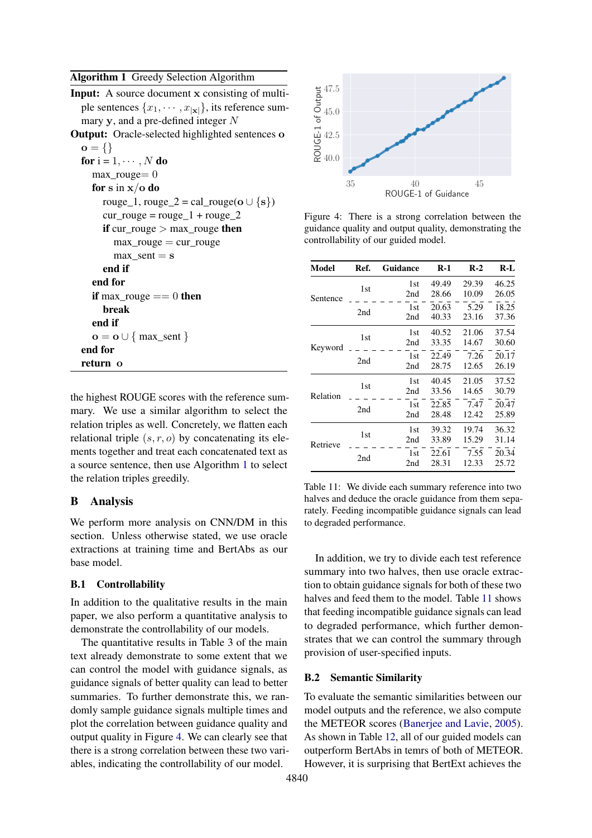# <span id="page-10-0"></span>Algorithm 1 Greedy Selection Algorithm

| <b>Input:</b> A source document x consisting of multi-                  |
|-------------------------------------------------------------------------|
| ple sentences $\{x_1, \dots, x_{ \mathbf{x} }\}\)$ , its reference sum- |
| mary $y$ , and a pre-defined integer $N$                                |
| <b>Output:</b> Oracle-selected highlighted sentences o                  |
| $o = \{\}$                                                              |
| for $i = 1, \dots, N$ do                                                |
| $max\_rough = 0$                                                        |
| for s in $x/o$ do                                                       |
| rouge_1, rouge_2 = cal_rouge( $\mathbf{o} \cup \{s\}$ )                 |
| $cur\_rouge = rouge_1 + rouge_2$                                        |
| if $cur\_rouge > max\_rouge$ then                                       |
| $max\_rouge = cur\_rouge$                                               |
| $max$ _sent = s                                                         |
| end if                                                                  |
| end for                                                                 |
| <b>if</b> max_rouge $== 0$ then                                         |
| break                                                                   |
| end if                                                                  |
| $\mathbf{o} = \mathbf{o} \cup \{ \text{max\_sent} \}$                   |
| end for                                                                 |
| return o                                                                |
|                                                                         |

the highest ROUGE scores with the reference summary. We use a similar algorithm to select the relation triples as well. Concretely, we flatten each relational triple  $(s, r, o)$  by concatenating its elements together and treat each concatenated text as a source sentence, then use Algorithm [1](#page-10-0) to select the relation triples greedily.

#### B Analysis

We perform more analysis on CNN/DM in this section. Unless otherwise stated, we use oracle extractions at training time and BertAbs as our base model.

## B.1 Controllability

In addition to the qualitative results in the main paper, we also perform a quantitative analysis to demonstrate the controllability of our models.

The quantitative results in Table 3 of the main text already demonstrate to some extent that we can control the model with guidance signals, as guidance signals of better quality can lead to better summaries. To further demonstrate this, we randomly sample guidance signals multiple times and plot the correlation between guidance quality and output quality in Figure [4.](#page-10-1) We can clearly see that there is a strong correlation between these two variables, indicating the controllability of our model.

<span id="page-10-1"></span>

Figure 4: There is a strong correlation between the guidance quality and output quality, demonstrating the controllability of our guided model.

<span id="page-10-2"></span>

| Model    | Ref. | Guidance   | R-1            | $R-2$          | R-L            |
|----------|------|------------|----------------|----------------|----------------|
|          | 1st  | 1st<br>2nd | 49.49<br>28.66 | 29.39<br>10.09 | 46.25<br>26.05 |
| Sentence | 2nd  | 1st<br>2nd | 20.63<br>40.33 | 5.29<br>23.16  | 18.25<br>37.36 |
| Keyword  | 1st  | 1st<br>2nd | 40.52<br>33.35 | 21.06<br>14.67 | 37.54<br>30.60 |
|          | 2nd  | 1st<br>2nd | 22.49<br>28.75 | 7.26<br>12.65  | 20.17<br>26.19 |
| Relation | 1st  | 1st<br>2nd | 40.45<br>33.56 | 21.05<br>14.65 | 37.52<br>30.79 |
|          | 2nd  | 1st<br>2nd | 22.85<br>28.48 | 7.47<br>12.42  | 20.47<br>25.89 |
| Retrieve | 1st  | 1st<br>2nd | 39.32<br>33.89 | 19.74<br>15.29 | 36.32<br>31.14 |
|          | 2nd  | 1st<br>2nd | 22.61<br>28.31 | 7.55<br>12.33  | 20.34<br>25.72 |

Table 11: We divide each summary reference into two halves and deduce the oracle guidance from them separately. Feeding incompatible guidance signals can lead to degraded performance.

In addition, we try to divide each test reference summary into two halves, then use oracle extraction to obtain guidance signals for both of these two halves and feed them to the model. Table [11](#page-10-2) shows that feeding incompatible guidance signals can lead to degraded performance, which further demonstrates that we can control the summary through provision of user-specified inputs.

## B.2 Semantic Similarity

To evaluate the semantic similarities between our model outputs and the reference, we also compute the METEOR scores [\(Banerjee and Lavie,](#page-8-17) [2005\)](#page-8-17). As shown in Table [12,](#page-11-0) all of our guided models can outperform BertAbs in temrs of both of METEOR. However, it is surprising that BertExt achieves the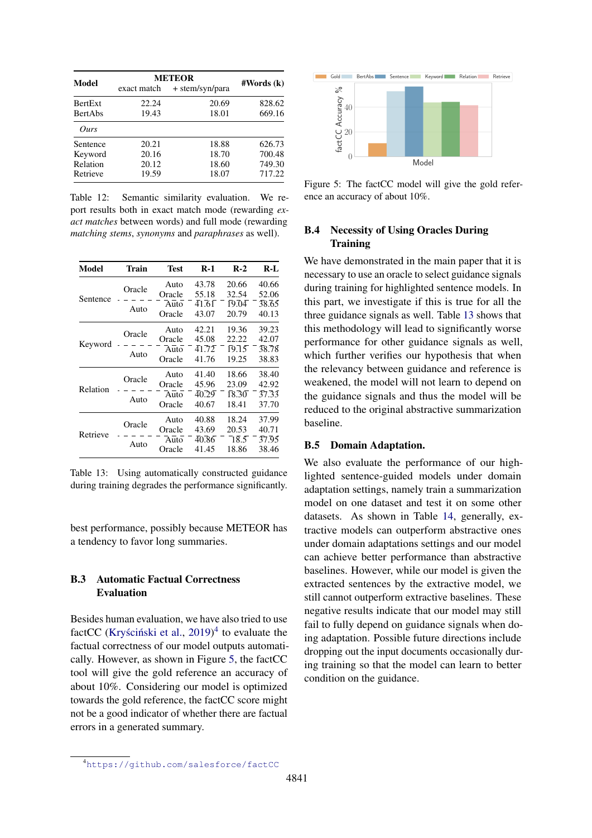<span id="page-11-0"></span>

| <b>Model</b>   | <b>METEOR</b> | #Words (k) |        |  |
|----------------|---------------|------------|--------|--|
|                | exact match   |            |        |  |
| <b>BertExt</b> | 22.24         | 20.69      | 828.62 |  |
| <b>BertAbs</b> | 19.43         | 18.01      | 669.16 |  |
| Ours           |               |            |        |  |
| Sentence       | 20.21         | 18.88      | 626.73 |  |
| Keyword        | 20.16         | 18.70      | 700.48 |  |
| Relation       | 20.12         | 18.60      | 749.30 |  |
| Retrieve       | 19.59         | 18.07      | 717.22 |  |

Table 12: Semantic similarity evaluation. We report results both in exact match mode (rewarding *exact matches* between words) and full mode (rewarding *matching stems*, *synonyms* and *paraphrases* as well).

<span id="page-11-3"></span>

| Model    | Train  | Test   | $R-1$               | $R-2$              | R-L   |
|----------|--------|--------|---------------------|--------------------|-------|
| Sentence | Oracle | Auto   | 43.78               | 20.66              | 40.66 |
|          |        | Oracle | 55.18               | 32.54              | 52.06 |
|          |        | Auto   | 41.61               | $\overline{19.04}$ | 38.65 |
|          | Auto   | Oracle | 43.07               | 20.79              | 40.13 |
| Keyword  | Oracle | Auto   | 42.21               | 19.36              | 39.23 |
|          |        | Oracle | 45.08               | 22.22              | 42.07 |
|          | Auto   | Auto   | $\bar{4}1.\bar{7}2$ | $\overline{19.15}$ | 38.78 |
|          |        | Oracle | 41.76               | 19.25              | 38.83 |
|          | Oracle | Auto   | 41.40               | 18.66              | 38.40 |
|          |        | Oracle | 45.96               | 23.09              | 42.92 |
| Relation | Auto   | Auto   | 40.29               | $\overline{18.30}$ | 37.33 |
|          |        | Oracle | 40.67               | 18.41              | 37.70 |
|          | Oracle | Auto   | 40.88               | 18.24              | 37.99 |
| Retrieve |        | Oracle | 43.69               | 20.53              | 40.71 |
|          |        | Auto   | 40.86               | $\overline{18.5}$  | 37.95 |
|          | Auto   | Oracle | 41.45               | 18.86              | 38.46 |

Table 13: Using automatically constructed guidance during training degrades the performance significantly.

best performance, possibly because METEOR has a tendency to favor long summaries.

# B.3 Automatic Factual Correctness Evaluation

Besides human evaluation, we have also tried to use factCC (Kryściński et al.,  $2019)^4$  $2019)^4$  $2019)^4$  to evaluate the factual correctness of our model outputs automatically. However, as shown in Figure [5,](#page-11-2) the factCC tool will give the gold reference an accuracy of about 10%. Considering our model is optimized towards the gold reference, the factCC score might not be a good indicator of whether there are factual errors in a generated summary.

<span id="page-11-2"></span>

Figure 5: The factCC model will give the gold reference an accuracy of about 10%.

# B.4 Necessity of Using Oracles During **Training**

We have demonstrated in the main paper that it is necessary to use an oracle to select guidance signals during training for highlighted sentence models. In this part, we investigate if this is true for all the three guidance signals as well. Table [13](#page-11-3) shows that this methodology will lead to significantly worse performance for other guidance signals as well, which further verifies our hypothesis that when the relevancy between guidance and reference is weakened, the model will not learn to depend on the guidance signals and thus the model will be reduced to the original abstractive summarization baseline.

## B.5 Domain Adaptation.

We also evaluate the performance of our highlighted sentence-guided models under domain adaptation settings, namely train a summarization model on one dataset and test it on some other datasets. As shown in Table [14,](#page-12-0) generally, extractive models can outperform abstractive ones under domain adaptations settings and our model can achieve better performance than abstractive baselines. However, while our model is given the extracted sentences by the extractive model, we still cannot outperform extractive baselines. These negative results indicate that our model may still fail to fully depend on guidance signals when doing adaptation. Possible future directions include dropping out the input documents occasionally during training so that the model can learn to better condition on the guidance.

<span id="page-11-1"></span><sup>4</sup><https://github.com/salesforce/factCC>